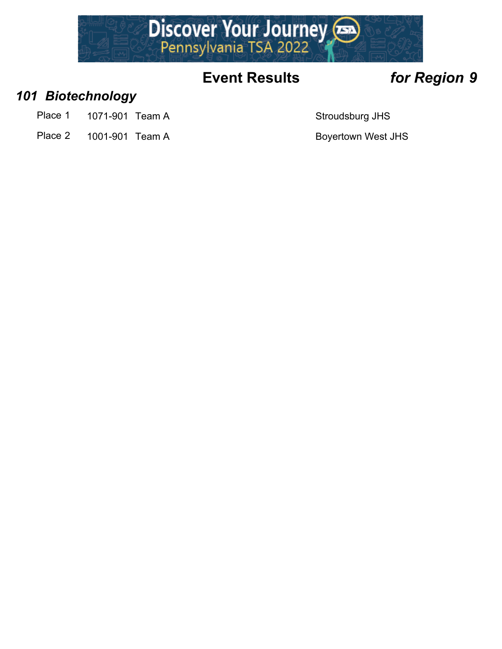

### *101 Biotechnology*

- Place 1 1071-901 Team A Stroudsburg JHS
- Place 2 1001-901 Team A Boyertown West JHS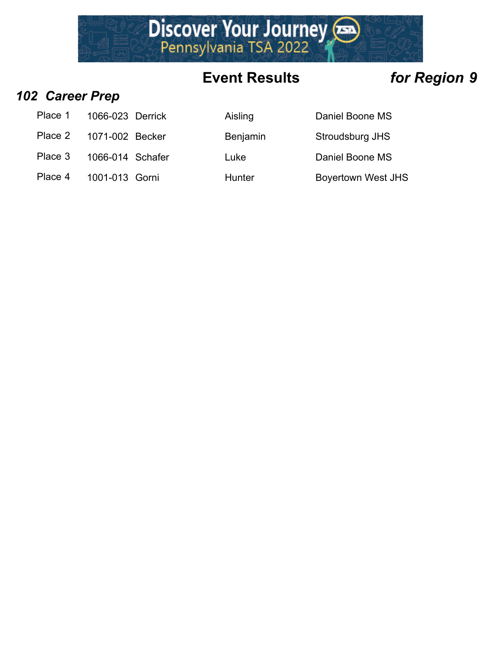

### *102 Career Prep*

| Place 1<br>1066-023 Derrick |  |
|-----------------------------|--|
|-----------------------------|--|

- Place 2 1071-002 Becker Benjamin Stroudsburg JHS
- Place 3 1066-014 Schafer Luke Luke Daniel Boone MS
- Place 4 1001-013 Gorni Hunter Boyertown West JHS

Aisling Daniel Boone MS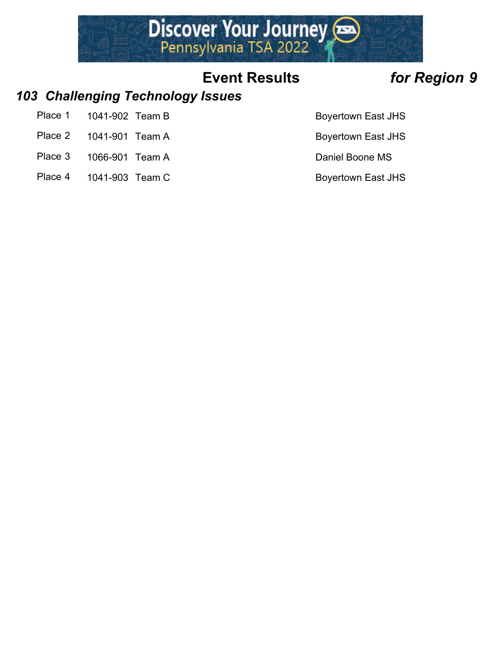

### *103 Challenging Technology Issues*

- Place 1 1041-902 Team B Boyertown East JHS
- Place 2 1041-901 Team A Boyertown East JHS
- Place 3 1066-901 Team A Daniel Boone MS
- Place 4 1041-903 Team C Boyertown East JHS
- 
- 
- -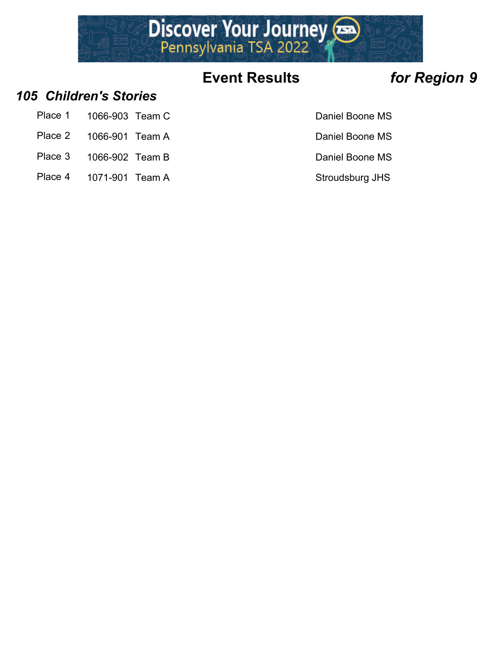

### *105 Children's Stories*

- Place 1 1066-903 Team C Daniel Boone MS
- Place 2 1066-901 Team A Daniel Boone MS
- Place 3 1066-902 Team B Daniel Boone MS
- Place 4 1071-901 Team A Stroudsburg JHS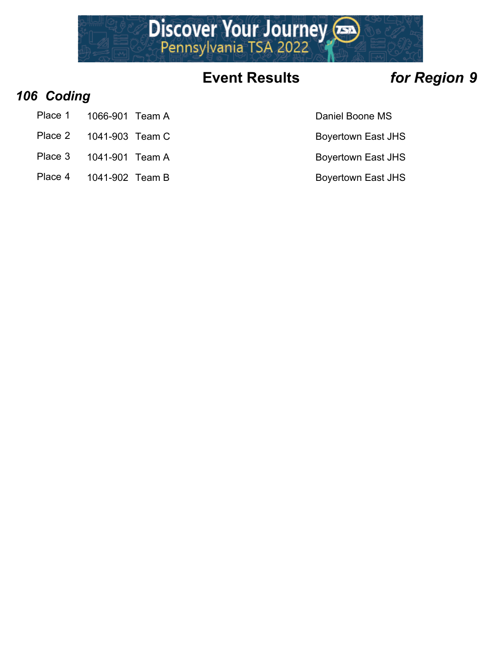

### *106 Coding*

- Place 1 1066-901 Team A Daniel Boone MS
- Place 2 1041-903 Team C Boyertown East JHS
- Place 3 1041-901 Team A Boyertown East JHS
- Place 4 1041-902 Team B Boyertown East JHS
- 
- 
- -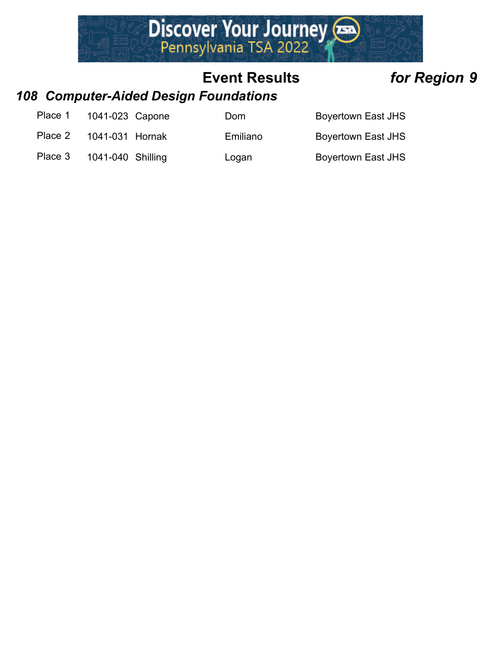

### *108 Computer-Aided Design Foundations*

| Place 1<br>1041-023 Capone |  |
|----------------------------|--|
|----------------------------|--|

Place 2 1041-031 Hornak **Emiliano** Boyertown East JHS

Dom Boyertown East JHS

Place 3 1041-040 Shilling Logan boyertown East JHS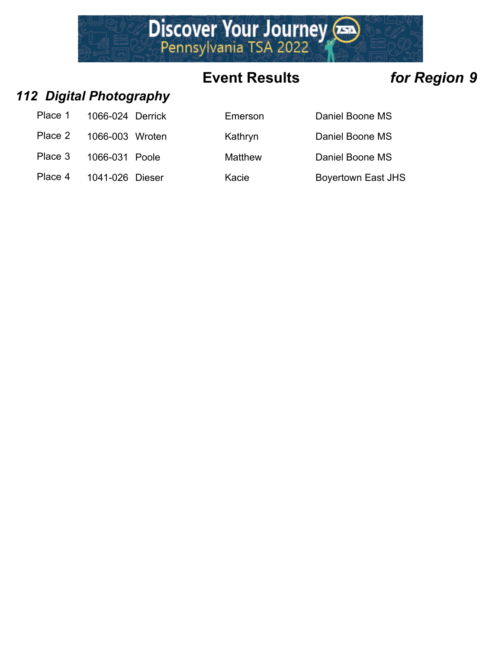

### *112 Digital Photography*

| Place 1 | 1066-024 Derrick |  |
|---------|------------------|--|
| Place 2 | 1066-003 Wroten  |  |
| Place 3 | 1066-031 Poole   |  |
| Place 4 | 1041-026 Dieser  |  |

| Place 1 | 1066-024 Derrick | Emerson | Daniel Boone MS           |
|---------|------------------|---------|---------------------------|
| Place 2 | 1066-003 Wroten  | Kathryn | Daniel Boone MS           |
| Place 3 | 1066-031 Poole   | Matthew | Daniel Boone MS           |
| Place 4 | 1041-026 Dieser  | Kacie   | <b>Boyertown East JHS</b> |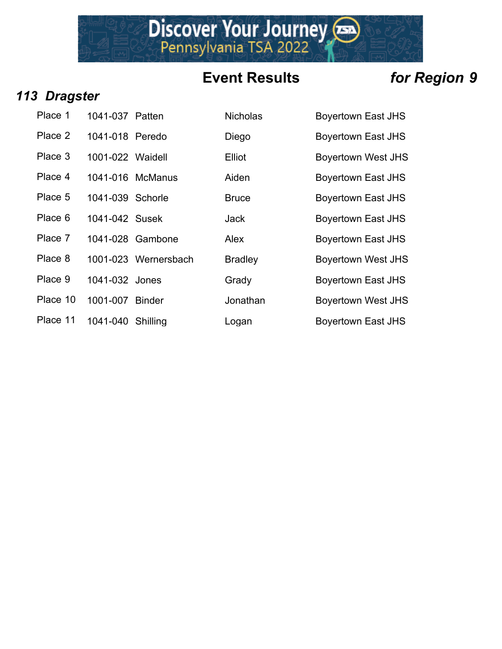Discover Your Journey

### *113 Dragster*

| Place 1  | 1041-037 Patten   |                    |
|----------|-------------------|--------------------|
| Place 2  | 1041-018 Peredo   |                    |
| Place 3  | 1001-022 Waidell  |                    |
| Place 4  |                   | 1041-016 McManus   |
| Place 5  | 1041-039 Schorle  |                    |
| Place 6  | 1041-042 Susek    |                    |
| Place 7  |                   | 1041-028 Gambone   |
| Place 8  |                   | 1001-023 Wernersba |
| Place 9  | 1041-032 Jones    |                    |
| Place 10 | 1001-007 Binder   |                    |
| Place 11 | 1041-040 Shilling |                    |

| Place 1  | 1041-037 Patten   |                      | <b>Nicholas</b> | <b>Boyertown East JHS</b> |
|----------|-------------------|----------------------|-----------------|---------------------------|
| Place 2  | 1041-018 Peredo   |                      | Diego           | <b>Boyertown East JHS</b> |
| Place 3  | 1001-022 Waidell  |                      | Elliot          | <b>Boyertown West JHS</b> |
| Place 4  |                   | 1041-016 McManus     | Aiden           | <b>Boyertown East JHS</b> |
| Place 5  | 1041-039 Schorle  |                      | <b>Bruce</b>    | <b>Boyertown East JHS</b> |
| Place 6  | 1041-042 Susek    |                      | <b>Jack</b>     | <b>Boyertown East JHS</b> |
| Place 7  |                   | 1041-028 Gambone     | Alex            | <b>Boyertown East JHS</b> |
| Place 8  |                   | 1001-023 Wernersbach | <b>Bradley</b>  | <b>Boyertown West JHS</b> |
| Place 9  | 1041-032 Jones    |                      | Grady           | <b>Boyertown East JHS</b> |
| Place 10 | 1001-007          | <b>Binder</b>        | Jonathan        | <b>Boyertown West JHS</b> |
| Place 11 | 1041-040 Shilling |                      | Logan           | <b>Boyertown East JHS</b> |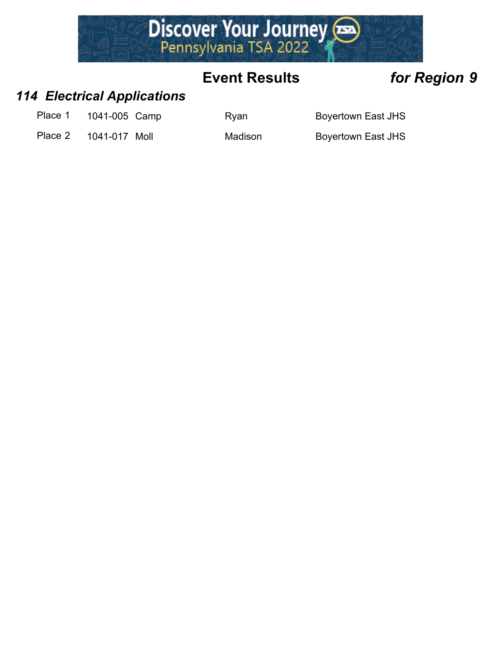

### *114 Electrical Applications*

Place 1 1041-005 Camp Ryan Ryan Boyertown East JHS

Place 2 1041-017 Moll Madison Boyertown East JHS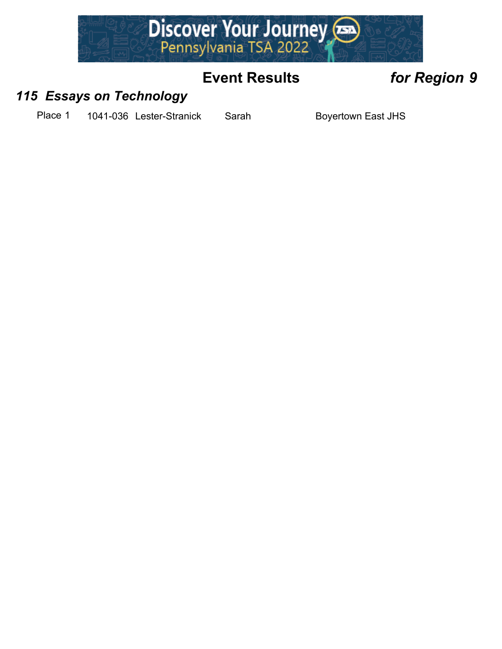

### *115 Essays on Technology*

Place 1 1041-036 Lester-Stranick Sarah Boyertown East JHS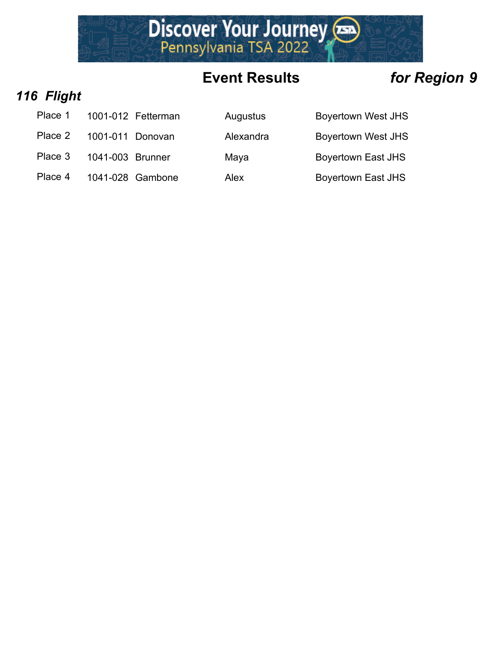

### *116 Flight*

| Place 1 | 1001-012 Fetterman |
|---------|--------------------|
|         |                    |

- Place 2 1001-011 Donovan  $\mu$
- Place 3 1041-003 Brunner M
- Place 4  $1041-028$  Gambone  $\mu$

| Place 1 | 1001-012 Fetterman | Augustus  | <b>Boyertown West JHS</b> |
|---------|--------------------|-----------|---------------------------|
| Place 2 | 1001-011 Donovan   | Alexandra | <b>Boyertown West JHS</b> |
| Place 3 | 1041-003 Brunner   | Maya      | <b>Boyertown East JHS</b> |
| Place 4 | 1041-028 Gambone   | Alex      | <b>Boyertown East JHS</b> |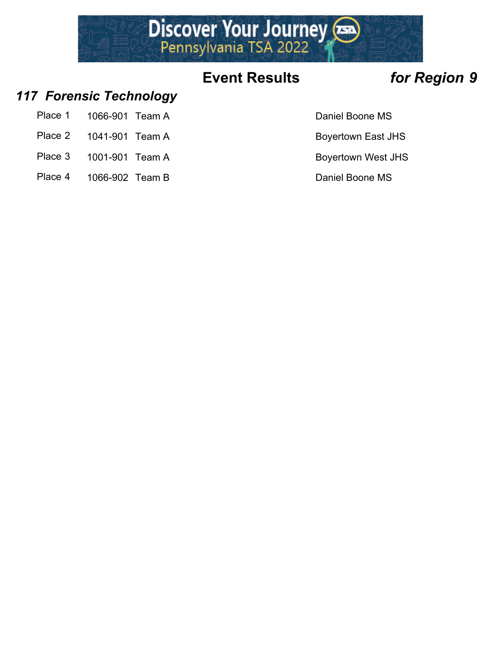

### *117 Forensic Technology*

- Place 1 1066-901 Team A Daniel Boone MS
- Place 2 1041-901 Team A Boyertown East JHS
- Place 3 1001-901 Team A Boyertown West JHS
- Place 4 1066-902 Team B Daniel Boone MS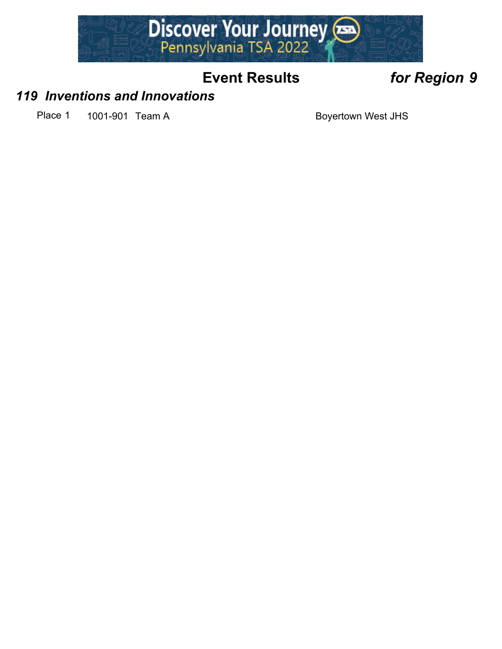

### *119 Inventions and Innovations*

Place 1 1001-901 Team A Boyertown West JHS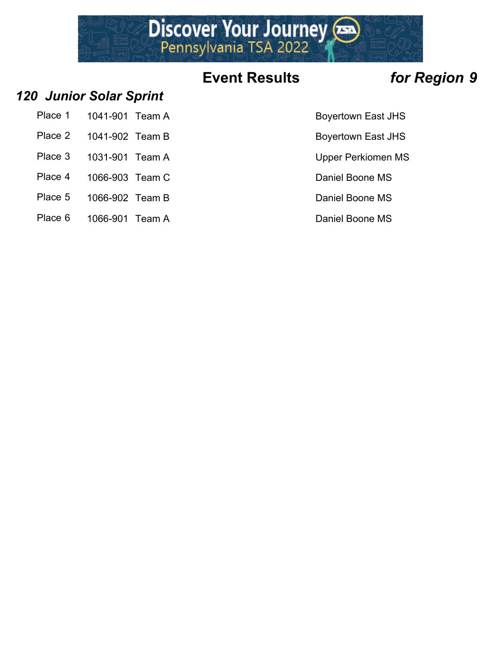

### *120 Junior Solar Sprint*

- Place 1 1041-901 Team A Boyertown East JHS
- Place 2 1041-902 Team B Boyertown East JHS
- Place 3 1031-901 Team A Vertex 100 Upper Perkiomen MS
- 
- 
- Place 5 1066-902 Team B Daniel Boone MS
- Place 6 1066-901 Team A Daniel Boone MS
- 
- 
- 
- Place 4 1066-903 Team C Daniel Boone MS
	-
	-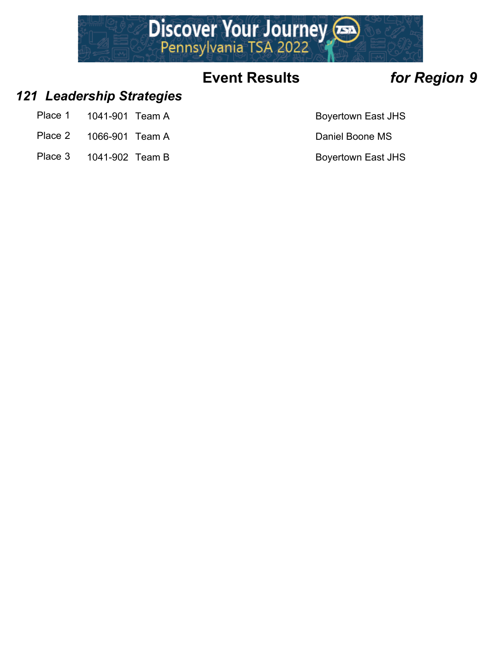

### *121 Leadership Strategies*

- Place 1 1041-901 Team A Boyertown East JHS
- Place 2 1066-901 Team A Daniel Boone MS
- Place 3 1041-902 Team B Boyertown East JHS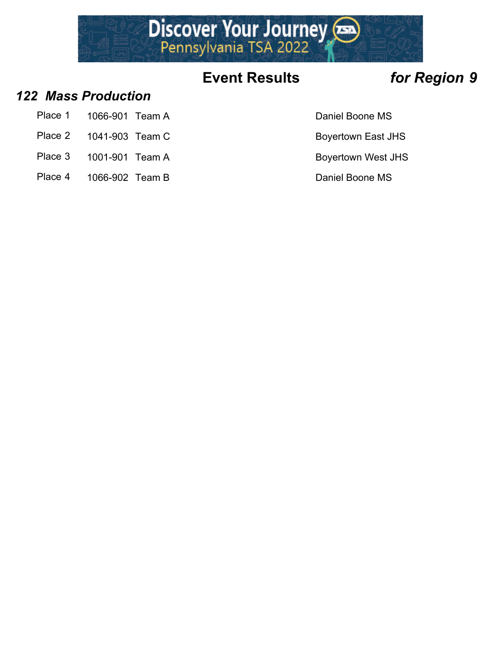

### *122 Mass Production*

- Place 1 1066-901 Team A Daniel Boone MS
- Place 2 1041-903 Team C Boyertown East JHS
- Place 3 1001-901 Team A Boyertown West JHS
- Place 4 1066-902 Team B Daniel Boone MS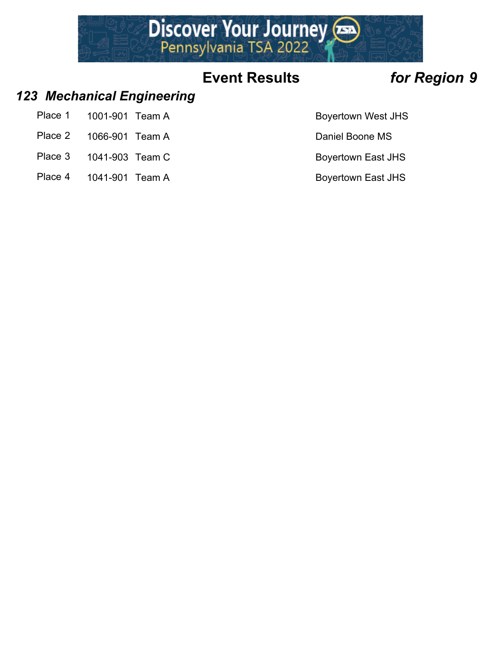

### *123 Mechanical Engineering*

- Place 1 1001-901 Team A Boyertown West JHS
- Place 2 1066-901 Team A Daniel Boone MS
- Place 3 1041-903 Team C Boyertown East JHS
- Place 4 1041-901 Team A Boyertown East JHS
-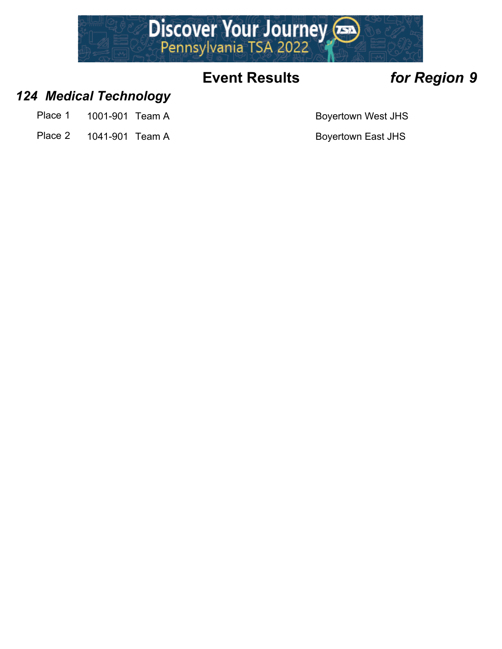

### *124 Medical Technology*

- Place 1 1001-901 Team A Boyertown West JHS
- Place 2 1041-901 Team A Boyertown East JHS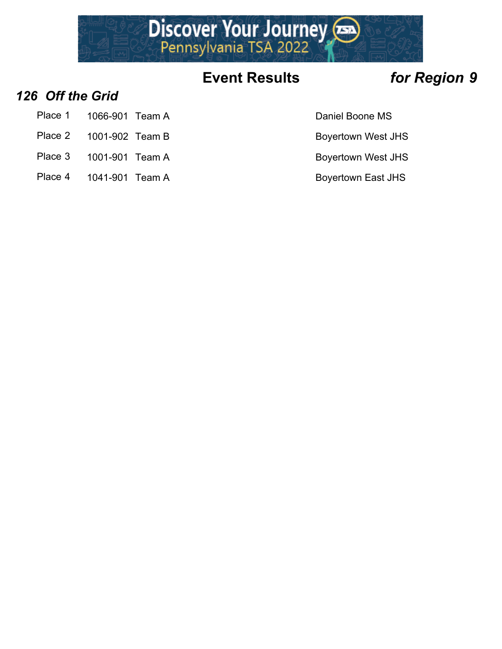

### *126 Off the Grid*

- Place 1 1066-901 Team A Daniel Boone MS
- Place 2 1001-902 Team B Boyertown West JHS
- Place 3 1001-901 Team A Boyertown West JHS
- Place 4 1041-901 Team A Boyertown East JHS
- 
- 
- -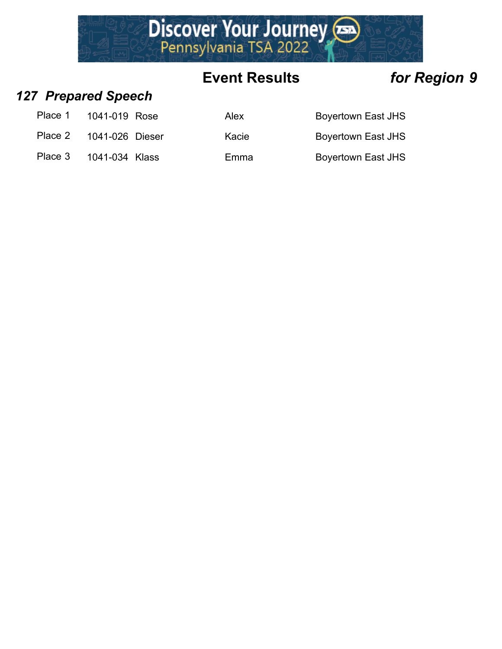

### *127 Prepared Speech*

| Place 1 | 1041-019 Rose |  |
|---------|---------------|--|
|---------|---------------|--|

- Place 2 1041-026 Dieser Ka
- Place 3 1041-034 Klass Emma Boyertown East JHS

| Place 1 | 1041-019 Rose   | Alex  | Boyertown East JHS        |
|---------|-----------------|-------|---------------------------|
| Place 2 | 1041-026 Dieser | Kacie | Boyertown East JHS        |
| Place 3 | 1041-034 Klass  | Emma  | <b>Boyertown East JHS</b> |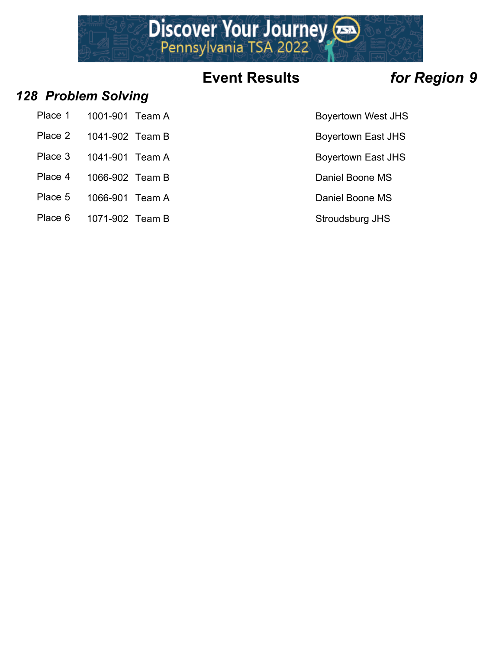

### *128 Problem Solving*

- Place 1 1001-901 Team A Boyertown West JHS
- Place 2 1041-902 Team B Boyertown East JHS
- 
- 
- Place 4 1066-902 Team B Daniel Boone MS
- Place 5 1066-901 Team A Daniel Boone MS
- Place 6 1071-902 Team B Stroudsburg JHS
- 
- 
- Place 3 1041-901 Team A Boyertown East JHS
	-
	-
	-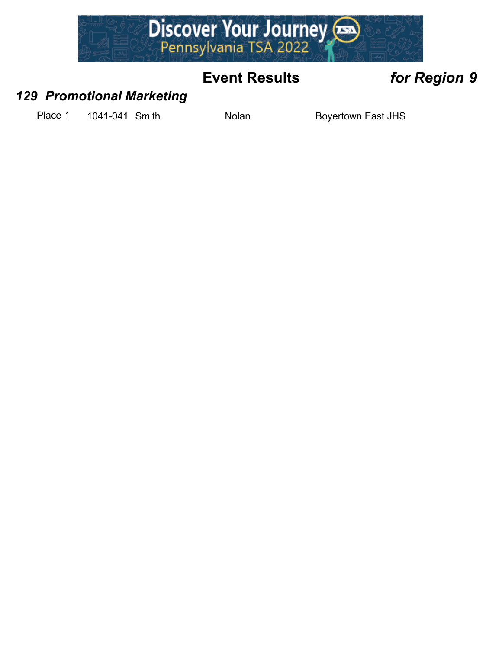

### *129 Promotional Marketing*

Place 1 1041-041 Smith Nolan Nolan Boyertown East JHS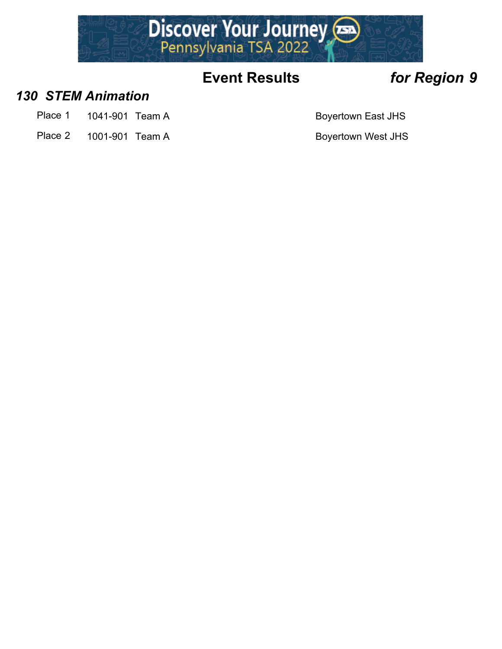

### *130 STEM Animation*

- Place 1 1041-901 Team A Boyertown East JHS
- Place 2 1001-901 Team A Boyertown West JHS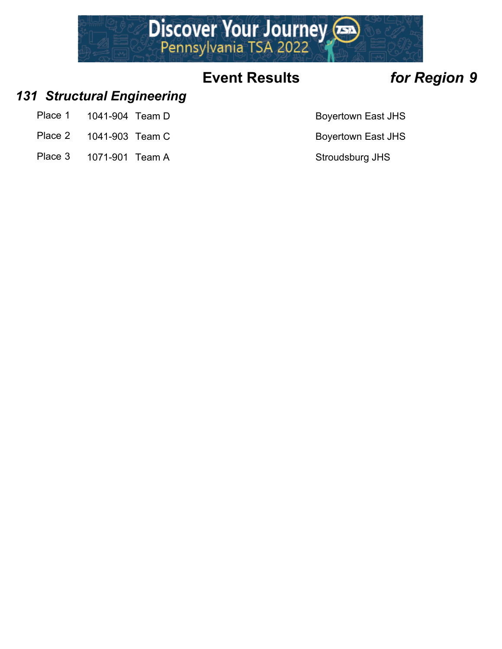

### *131 Structural Engineering*

- Place 1 1041-904 Team D Boyertown East JHS
- Place 2 1041-903 Team C Boyertown East JHS
- Place 3 1071-901 Team A Stroudsburg JHS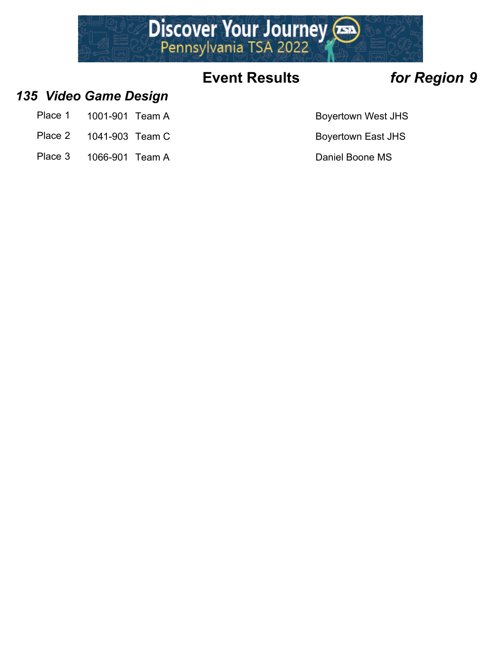

### *135 Video Game Design*

- Place 1 1001-901 Team A Boyertown West JHS
- Place 2 1041-903 Team C Boyertown East JHS
- Place 3 1066-901 Team A Daniel Boone MS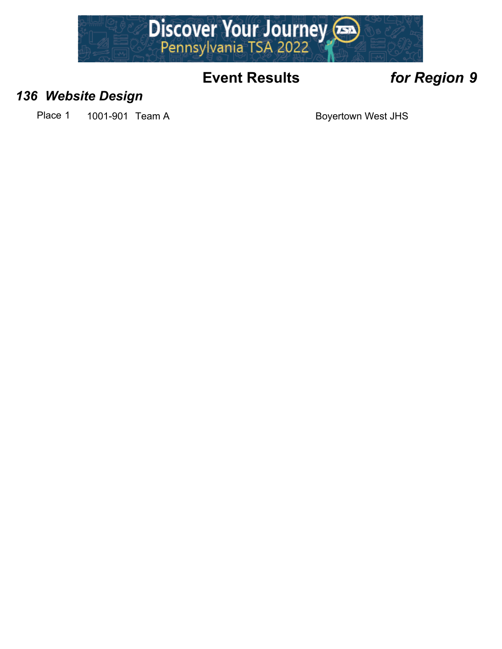

### *136 Website Design*

Place 1 1001-901 Team A Boyertown West JHS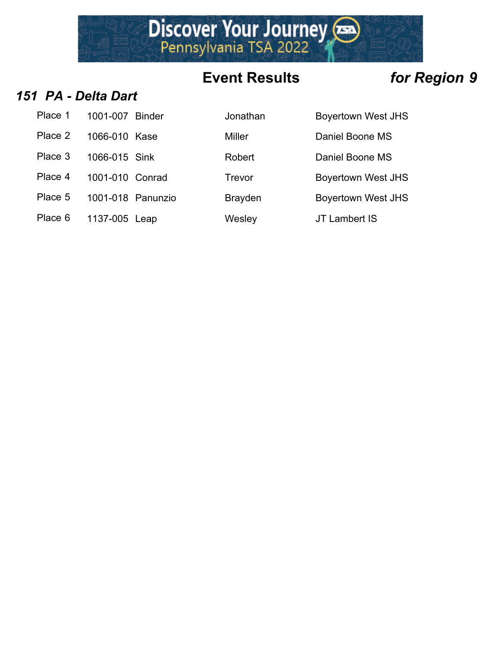

### *151 PA - Delta Dart*

| Place 1 | 1001-007 Binder |  |
|---------|-----------------|--|
| Place 2 | 1066-010 Kase   |  |
| Place 3 | 1066-015 Sink   |  |
| Place 4 | 1001-010 Conrad |  |
| Place 5 | 1001-018 Panunz |  |
| Place 6 | 1137-005 Leap   |  |

| Place 1 | 1001-007 Binder   | Jonathan       | <b>Boyertown West JHS</b> |
|---------|-------------------|----------------|---------------------------|
| Place 2 | 1066-010 Kase     | Miller         | Daniel Boone MS           |
| Place 3 | 1066-015 Sink     | Robert         | Daniel Boone MS           |
| Place 4 | 1001-010 Conrad   | Trevor         | <b>Boyertown West JHS</b> |
| Place 5 | 1001-018 Panunzio | <b>Brayden</b> | <b>Boyertown West JHS</b> |
| Place 6 | 1137-005 Leap     | Wesley         | JT Lambert IS             |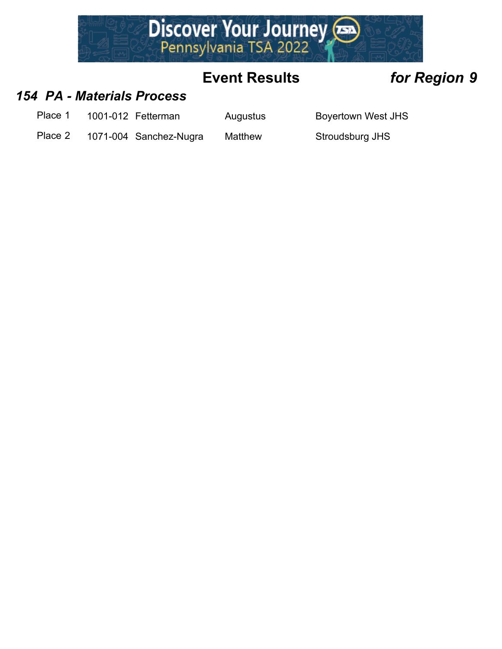

### *154 PA - Materials Process*

Place 1 1001-012 Fetterman Augustus Boyertown West JHS

Place 2 1071-004 Sanchez-Nugra Matthew Stroudsburg JHS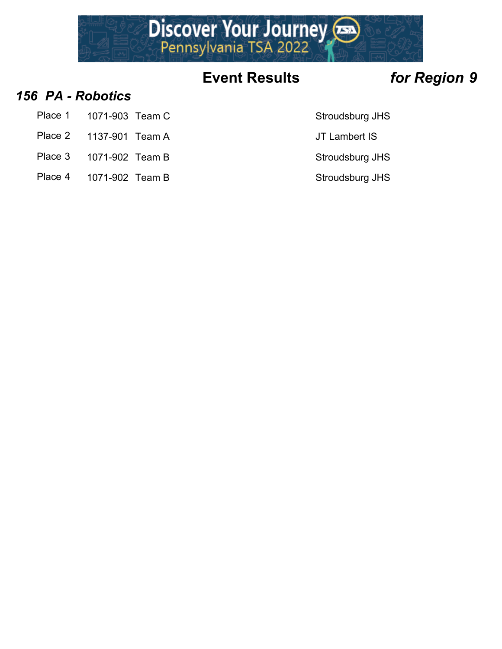

### *156 PA - Robotics*

- Place 1 1071-903 Team C Stroudsburg JHS
- Place 2 1137-901 Team A JT Lambert IS
- Place 3 1071-902 Team B Stroudsburg JHS
- Place 4 1071-902 Team B Stroudsburg JHS
- 
- 
- -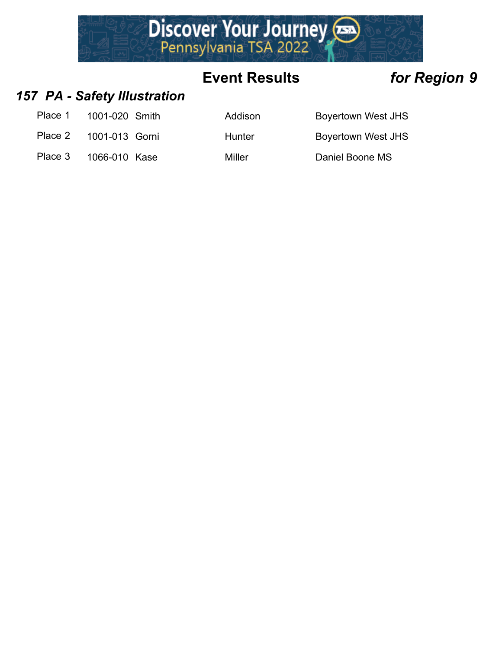

### *157 PA - Safety Illustration*

| Place 1 | 1001-020 Smith |
|---------|----------------|
|---------|----------------|

Place 2 1001-013 Gorni Hunter Boyertown West JHS

Place 3 1066-010 Kase Miller Miller Daniel Boone MS

Addison Boyertown West JHS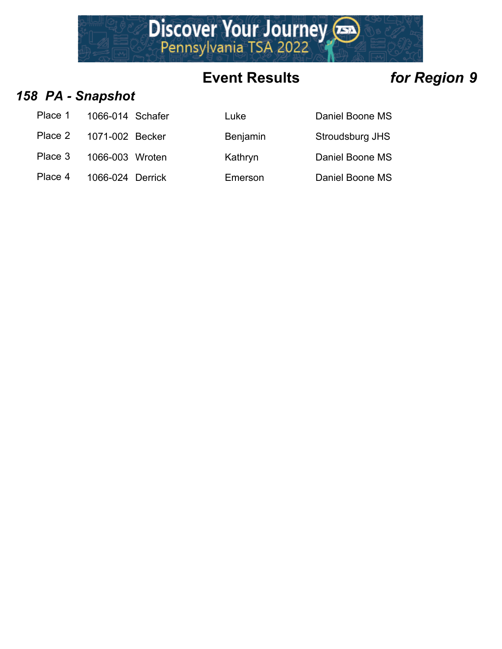

### *158 PA - Snapshot*

| Place 1 | 1066-014 Schafer |  |
|---------|------------------|--|
|         |                  |  |

Place 2 1071-002 Becker Benjamin Stroudsburg JHS

Place 3 1066-003 Wroten Kathryn Daniel Boone MS

Place 4 1066-024 Derrick Emerson Daniel Boone MS

Luke 1066-2014 Daniel Boone MS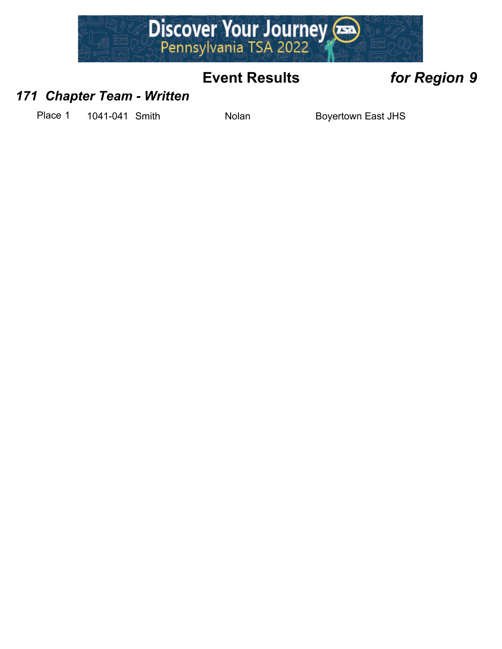

### *171 Chapter Team - Written*

Place 1 1041-041 Smith Nolan Nolan Boyertown East JHS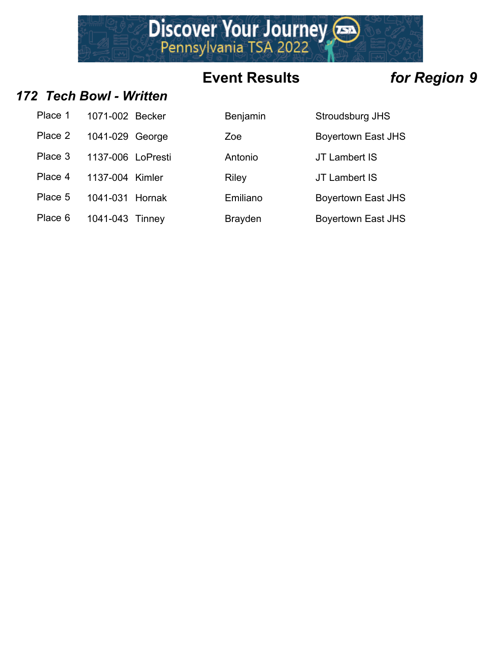Discover Your Journey

### *172 Tech Bowl - Written*

| Place 1 | 1071-002 Becker   |  |
|---------|-------------------|--|
| Place 2 | 1041-029 George   |  |
| Place 3 | 1137-006 LoPresti |  |
| Place 4 | 1137-004 Kimler   |  |
| Place 5 | 1041-031 Hornak   |  |
| Place 6 | 1041-043 Tinney   |  |

| Place 1 | 1071-002 Becker   | Benjamin       | Stroudsburg JHS           |
|---------|-------------------|----------------|---------------------------|
| Place 2 | 1041-029 George   | Zoe            | <b>Boyertown East JHS</b> |
| Place 3 | 1137-006 LoPresti | Antonio        | JT Lambert IS             |
| Place 4 | 1137-004 Kimler   | <b>Riley</b>   | JT Lambert IS             |
| Place 5 | 1041-031 Hornak   | Emiliano       | <b>Boyertown East JHS</b> |
| Place 6 | 1041-043 Tinney   | <b>Brayden</b> | <b>Boyertown East JHS</b> |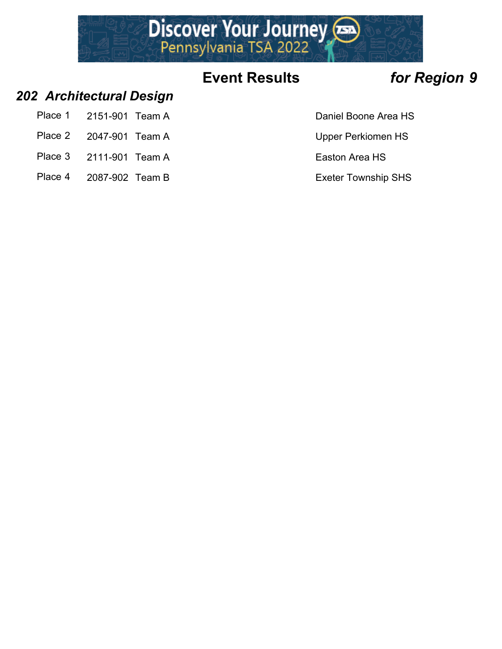

### *202 Architectural Design*

- Place 1 2151-901 Team A Daniel Boone Area HS
- Place 2 2047-901 Team A Upper Perkiomen HS
- Place 3 2111-901 Team A Easton Area HS
- Place 4 2087-902 Team B Exeter Township SHS
-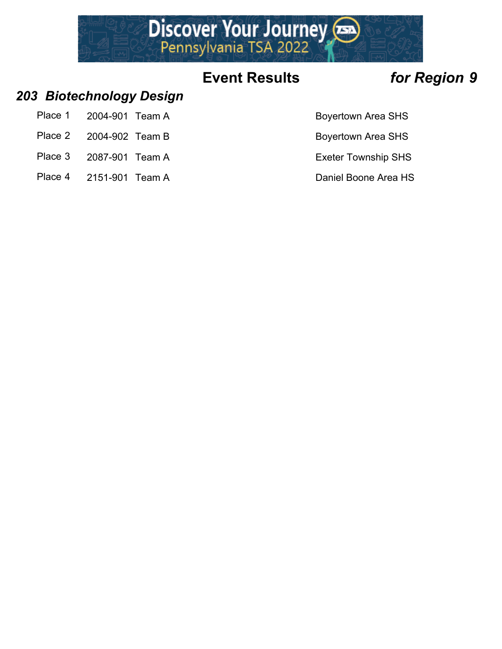

### *203 Biotechnology Design*

- Place 1 2004-901 Team A Boyertown Area SHS
- Place 2 2004-902 Team B Boyertown Area SHS
- Place 3 2087-901 Team A Exeter Township SHS
- Place 4 2151-901 Team A Daniel Boone Area HS
-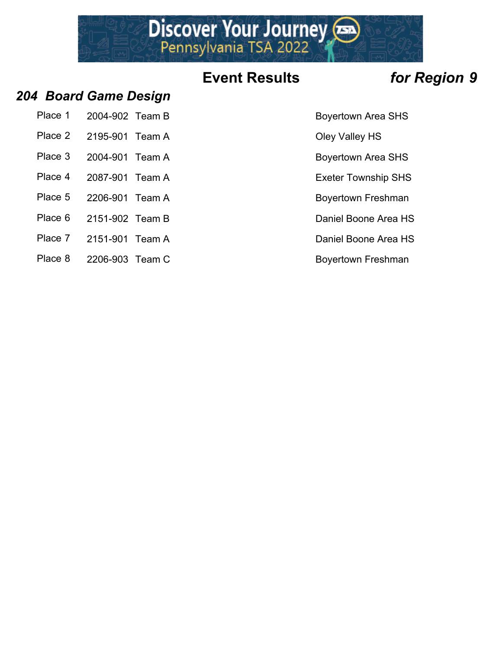Discover Your Journey

### *204 Board Game Design*

| Place 1 2004-902 Team B | <b>Boyertown Area</b> |
|-------------------------|-----------------------|
| Place 2 2195-901 Team A | Oley Valley HS        |

- 
- 
- 
- Place 5 2206-901 Team A Boyertown Freshman
- Place 6 2151-902 Team B Daniel Boone Area HS
- Place 7 2151-901 Team A Daniel Boone Area HS
- Place 8 2206-903 Team C Boyertown Freshman
- Boyertown Area SHS
- 
- Place 3 2004-901 Team A Boyertown Area SHS
- Place 4 2087-901 Team A Exeter Township SHS
	-
	-
	-
	-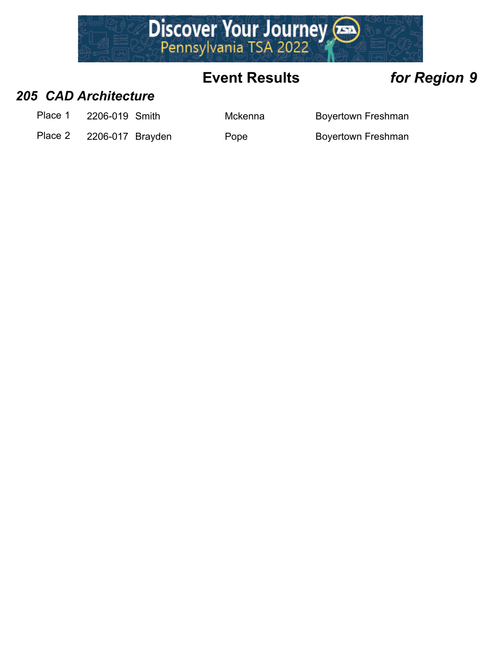

### *205 CAD Architecture*

Place 1 2206-019 Smith Mckenna Boyertown Freshman

Place 2 2206-017 Brayden Pope Boyertown Freshman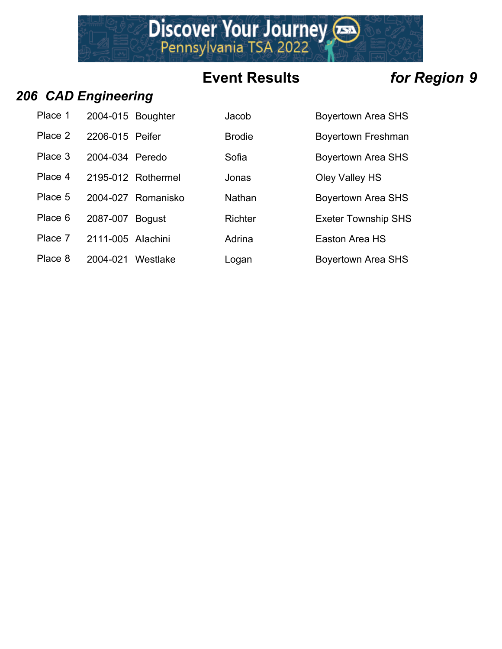Discover Your Journey

### *206 CAD Engineering*

| Place 1 | 2004-015 Boughter |                    | Jacob          | <b>Boyertown Area SHS</b>  |
|---------|-------------------|--------------------|----------------|----------------------------|
| Place 2 | 2206-015 Peifer   |                    | <b>Brodie</b>  | <b>Boyertown Freshman</b>  |
| Place 3 | 2004-034 Peredo   |                    | Sofia          | <b>Boyertown Area SHS</b>  |
| Place 4 |                   | 2195-012 Rothermel | Jonas          | Oley Valley HS             |
| Place 5 |                   | 2004-027 Romanisko | Nathan         | <b>Boyertown Area SHS</b>  |
| Place 6 | 2087-007          | <b>Bogust</b>      | <b>Richter</b> | <b>Exeter Township SHS</b> |
| Place 7 | 2111-005 Alachini |                    | Adrina         | Easton Area HS             |

Place 8 2004-021 Westlake Logan Boyertown Area SHS

| Boyertown Area SH         |
|---------------------------|
| <b>Boyertown Freshma</b>  |
| Boyertown Area SH         |
| Oley Valley HS            |
| Boyertown Area SH         |
| <b>Exeter Township SI</b> |
| Easton Area HS            |
|                           |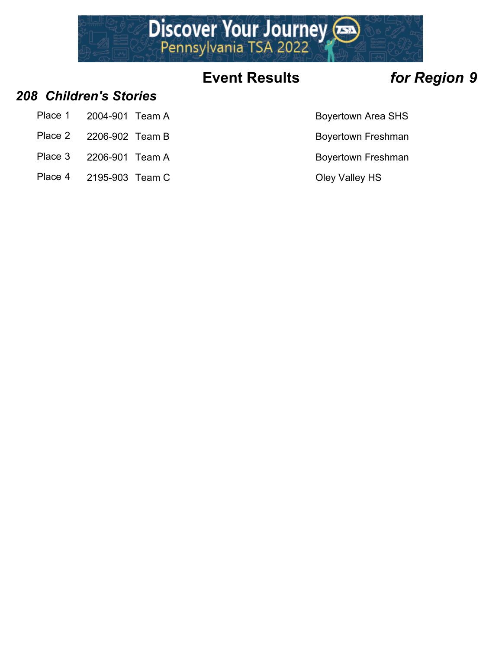

### *208 Children's Stories*

- Place 1 2004-901 Team A Boyertown Area SHS
- Place 2 2206-902 Team B Boyertown Freshman
- Place 3 2206-901 Team A Boyertown Freshman
- Place 4 2195-903 Team C COLEY COLEY Valley HS
- 
- 
- -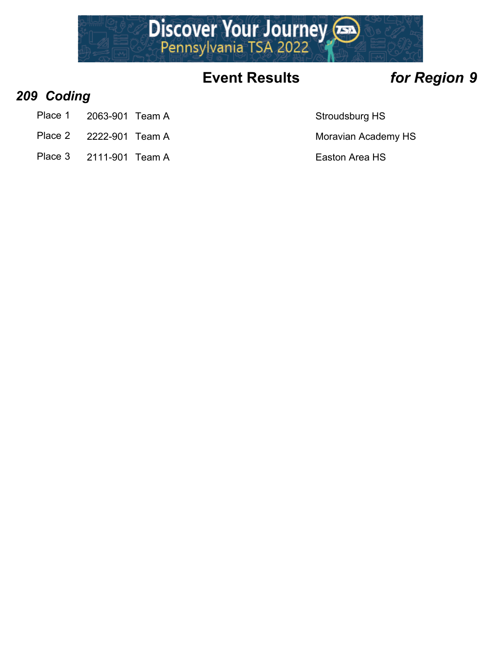

### *209 Coding*

- Place 1 2063-901 Team A Stroudsburg HS
- Place 2 2222-901 Team A Moravian Academy HS
- Place 3 2111-901 Team A Easton Area HS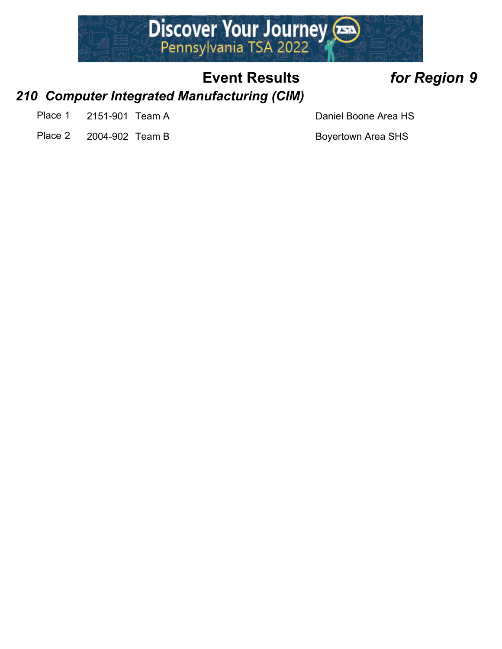

### *210 Computer Integrated Manufacturing (CIM)*

- Place 1 2151-901 Team A Daniel Boone Area HS
- Place 2 2004-902 Team B Boyertown Area SHS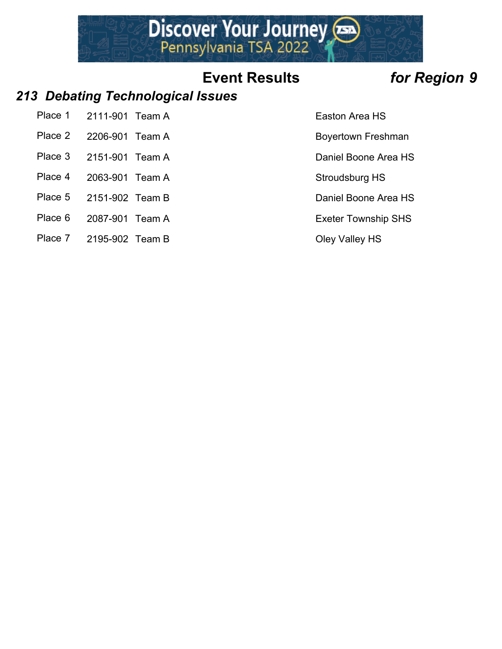

### *213 Debating Technological Issues*

| Place 1 | 2111-901 Team A |  |
|---------|-----------------|--|
|         | -------         |  |

- 
- Place 3 2151-901 Team A Daniel Boone Area HS
- Place 4 2063-901 Team A Stroudsburg HS
- Place 5 2151-902 Team B Daniel Boone Area HS
- Place 6 2087-901 Team A Exeter Township SHS
- Place 7 2195-902 Team B Oley Valley HS
- Easton Area HS
- Place 2 2206-901 Team A Boyertown Freshman
	-
	-
	-
	-
	-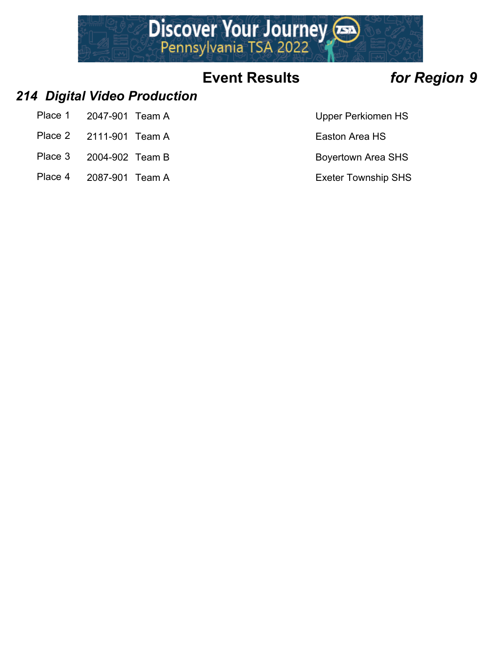

### *214 Digital Video Production*

- Place 1 2047-901 Team A Upper Perkiomen HS
- Place 2 2111-901 Team A Easton Area HS
- Place 3 2004-902 Team B Boyertown Area SHS
- Place 4 2087-901 Team A Exeter Township SHS
-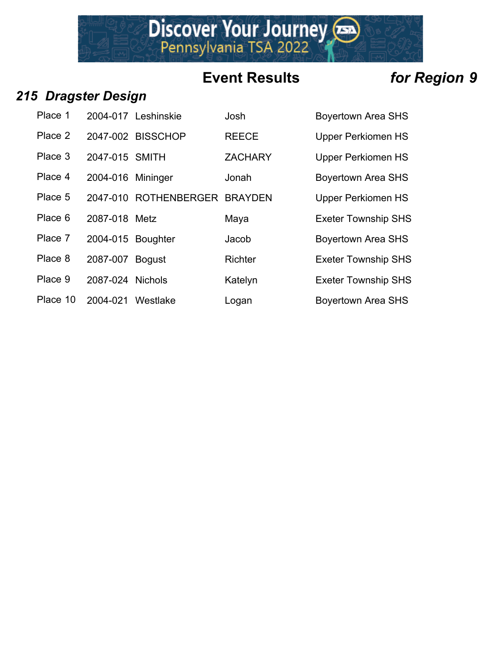Discover Your Journey

### *215 Dragster Design*

| Place 1  |                   | 2004-017 Leshinskie   | Josh           | <b>Boyertown Area SHS</b>  |
|----------|-------------------|-----------------------|----------------|----------------------------|
| Place 2  |                   | 2047-002 BISSCHOP     | <b>REECE</b>   | <b>Upper Perkiomen HS</b>  |
| Place 3  | 2047-015 SMITH    |                       | <b>ZACHARY</b> | <b>Upper Perkiomen HS</b>  |
| Place 4  | 2004-016 Mininger |                       | Jonah          | <b>Boyertown Area SHS</b>  |
| Place 5  |                   | 2047-010 ROTHENBERGER | <b>BRAYDEN</b> | <b>Upper Perkiomen HS</b>  |
| Place 6  | 2087-018 Metz     |                       | Maya           | <b>Exeter Township SHS</b> |
| Place 7  | 2004-015 Boughter |                       | Jacob          | Boyertown Area SHS         |
| Place 8  | 2087-007 Bogust   |                       | <b>Richter</b> | <b>Exeter Township SHS</b> |
| Place 9  | 2087-024 Nichols  |                       | Katelyn        | <b>Exeter Township SHS</b> |
| Place 10 | 2004-021          | Westlake              | Logan          | Boyertown Area SHS         |

| Bovertown Area SHS         |
|----------------------------|
| <b>Upper Perkiomen HS</b>  |
| <b>Upper Perkiomen HS</b>  |
| <b>Boyertown Area SHS</b>  |
| <b>Upper Perkiomen HS</b>  |
| <b>Exeter Township SHS</b> |
| <b>Boyertown Area SHS</b>  |
| <b>Exeter Township SHS</b> |
| <b>Exeter Township SHS</b> |
|                            |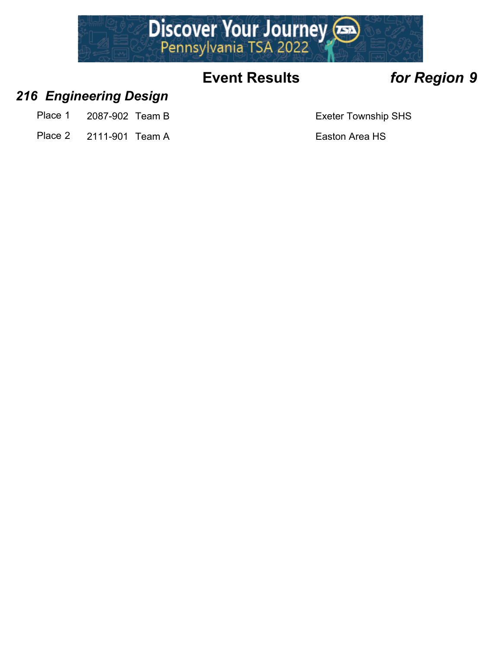

### *216 Engineering Design*

- Place 1 2087-902 Team B Exeter Township SHS
- Place 2 2111-901 Team A Easton Area HS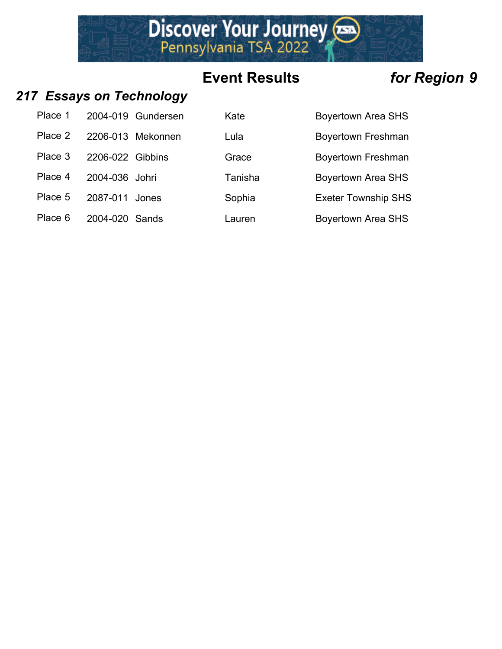Discover Your Journey

### *217 Essays on Technology*

| Place 1 |                  | 2004-019 Gundersen |
|---------|------------------|--------------------|
| Place 2 |                  | 2206-013 Mekonnen  |
| Place 3 | 2206-022 Gibbins |                    |
| Place 4 | 2004-036 Johri   |                    |
| Place 5 | 2087-011 Jones   |                    |
| Place 6 | 2004-020 Sands   |                    |

| Place 1 |                  | 2004-019 Gundersen | Kate    | <b>Boyertown Area SHS</b>  |
|---------|------------------|--------------------|---------|----------------------------|
| Place 2 |                  | 2206-013 Mekonnen  | Lula    | <b>Boyertown Freshman</b>  |
| Place 3 | 2206-022 Gibbins |                    | Grace   | <b>Boyertown Freshman</b>  |
| Place 4 | 2004-036 Johri   |                    | Tanisha | <b>Boyertown Area SHS</b>  |
| Place 5 | 2087-011         | Jones              | Sophia  | <b>Exeter Township SHS</b> |
| Place 6 | 2004-020 Sands   |                    | Lauren  | <b>Boyertown Area SHS</b>  |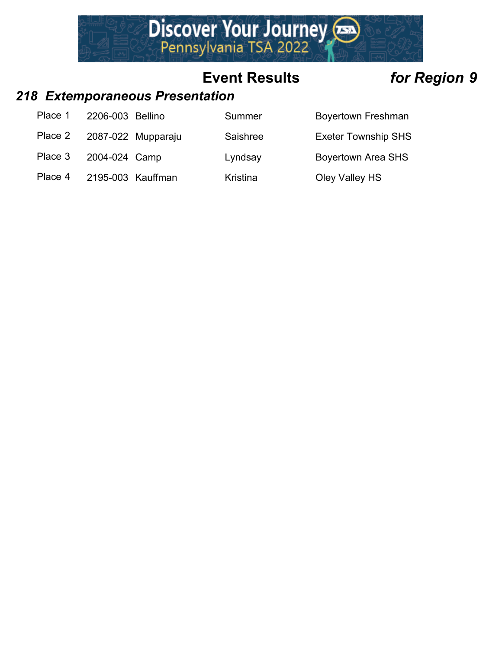

# *218 Extemporaneous Presentation*

| Place 1 | 2206-003 Bellino  |                    | Summer          | <b>Boyertown Freshman</b>  |
|---------|-------------------|--------------------|-----------------|----------------------------|
| Place 2 |                   | 2087-022 Mupparaju | Saishree        | <b>Exeter Township SHS</b> |
| Place 3 | 2004-024 Camp     |                    | Lyndsay         | <b>Boyertown Area SHS</b>  |
| Place 4 | 2195-003 Kauffman |                    | <b>Kristina</b> | Oley Valley HS             |
|         |                   |                    |                 |                            |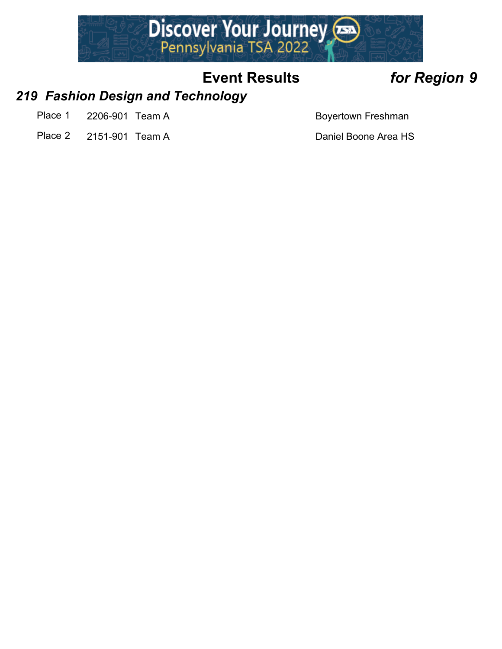

### *219 Fashion Design and Technology*

- Place 1 2206-901 Team A Boyertown Freshman
- Place 2 2151-901 Team A Daniel Boone Area HS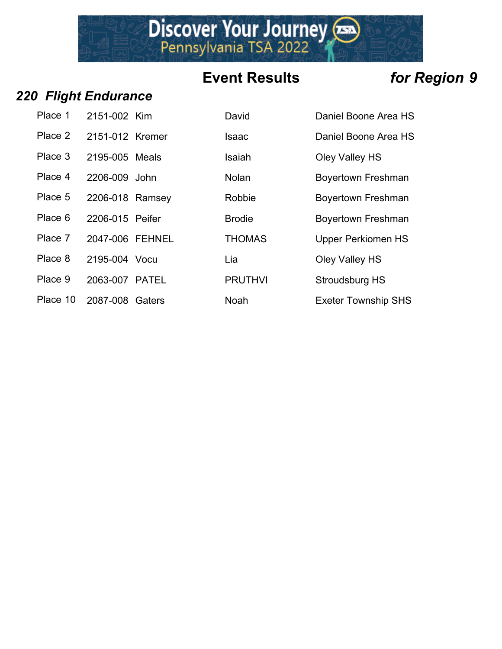Discover Your Journey

### *220 Flight Endurance*

| Place 1  | 2151-002 Kim    | Di |
|----------|-----------------|----|
| Place 2  | 2151-012 Kremer | ls |
| Place 3  | 2195-005 Meals  | ls |
| Place 4  | 2206-009 John   | N  |
| Place 5  | 2206-018 Ramsey | R  |
| Place 6  | 2206-015 Peifer | Bı |
| Place 7  | 2047-006 FEHNEL | ΤI |
| Place 8  | 2195-004 Vocu   | Li |
| Place 9  | 2063-007 PATEL  | P  |
| Place 10 | 2087-008 Gaters | N  |

| Place 1  | 2151-002 Kim    | David          | Daniel Boone Area HS       |
|----------|-----------------|----------------|----------------------------|
| Place 2  | 2151-012 Kremer | Isaac          | Daniel Boone Area HS       |
| Place 3  | 2195-005 Meals  | Isaiah         | Oley Valley HS             |
| Place 4  | 2206-009 John   | <b>Nolan</b>   | <b>Boyertown Freshman</b>  |
| Place 5  | 2206-018 Ramsey | Robbie         | <b>Boyertown Freshman</b>  |
| Place 6  | 2206-015 Peifer | <b>Brodie</b>  | <b>Boyertown Freshman</b>  |
| Place 7  | 2047-006 FEHNEL | <b>THOMAS</b>  | <b>Upper Perkiomen HS</b>  |
| Place 8  | 2195-004 Vocu   | Lia            | Oley Valley HS             |
| Place 9  | 2063-007 PATEL  | <b>PRUTHVI</b> | Stroudsburg HS             |
| Place 10 | 2087-008 Gaters | <b>Noah</b>    | <b>Exeter Township SHS</b> |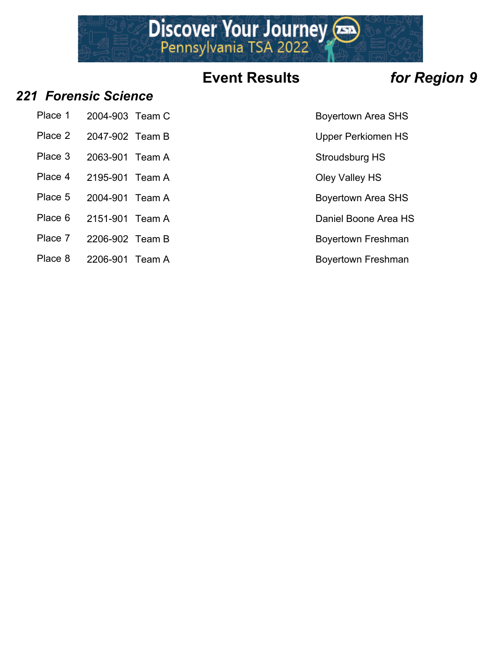# Discover Your Journey

# **Event Results** *for Region 9*

### *221 Forensic Science*

- Place 1 2004-903 Team C Boyertown Area SHS
- Place 2 2047-902 Team B Upper Perkiomen HS
- 
- 
- Place 4 2195-901 Team A Cley Valley HS
- Place 5 2004-901 Team A Boyertown Area SHS
- Place 6 2151-901 Team A Daniel Boone Area HS
- Place 7 2206-902 Team B Boyertown Freshman
- Place 8 2206-901 Team A Boyertown Freshman
- 
- 
- Place 3 2063-901 Team A Stroudsburg HS
	-
	-
	-
	-
	-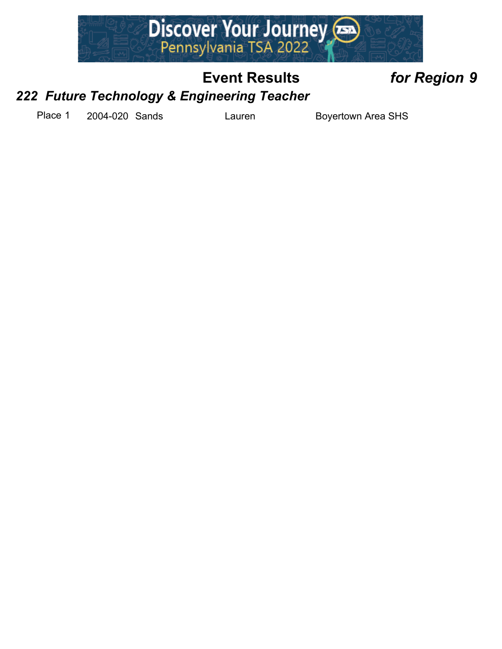

### *222 Future Technology & Engineering Teacher*

Place 1 2004-020 Sands Lauren Boyertown Area SHS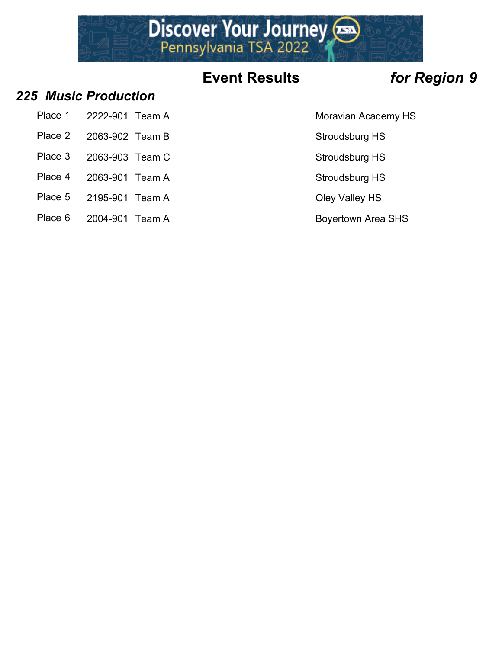

### *225 Music Production*

- Place 1 2222-901 Team A Moravian Academy HS
- Place 2 2063-902 Team B Stroudsburg HS
- Place 3 2063-903 Team C Stroudsburg HS
- 
- Place 4 2063-901 Team A Stroudsburg HS
- Place 5 2195-901 Team A Cley Valley HS
- Place 6 2004-901 Team A Boyertown Area SHS
- 
- 
- 
- 
- 
-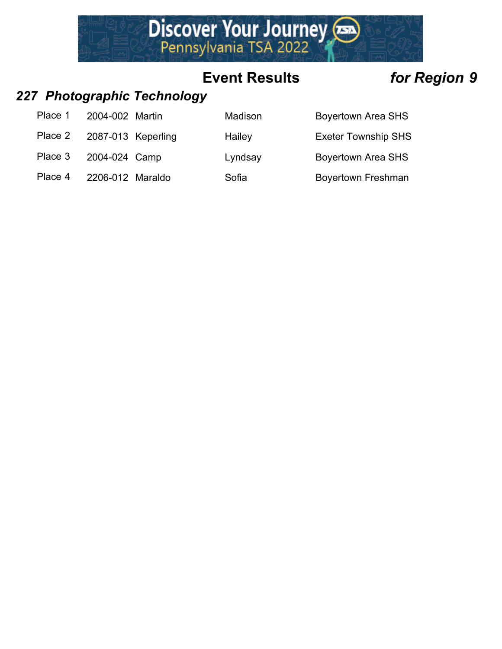

### *227 Photographic Technology*

| Place 1 | 2004-002 Martin    | Madison | <b>Boyertown Area SHS</b>  |
|---------|--------------------|---------|----------------------------|
| Place 2 | 2087-013 Keperling | Hailey  | <b>Exeter Township SHS</b> |
| Place 3 | 2004-024 Camp      | Lyndsay | <b>Boyertown Area SHS</b>  |
| Place 4 | 2206-012 Maraldo   | Sofia   | <b>Boyertown Freshman</b>  |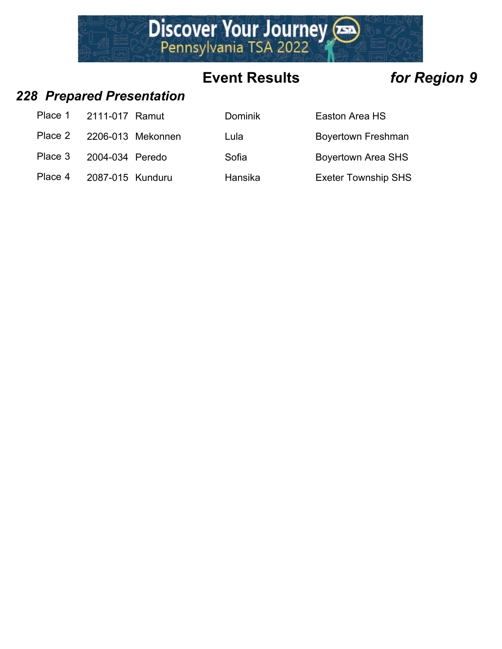

### *228 Prepared Presentation*

|         | Place 1 2111-017 Ramut    | <b>Dominik</b> | Easton Area HS             |
|---------|---------------------------|----------------|----------------------------|
|         | Place 2 2206-013 Mekonnen | Lula           | <b>Boyertown Freshman</b>  |
| Place 3 | 2004-034 Peredo           | Sofia          | <b>Boyertown Area SHS</b>  |
| Place 4 | 2087-015 Kunduru          | Hansika        | <b>Exeter Township SHS</b> |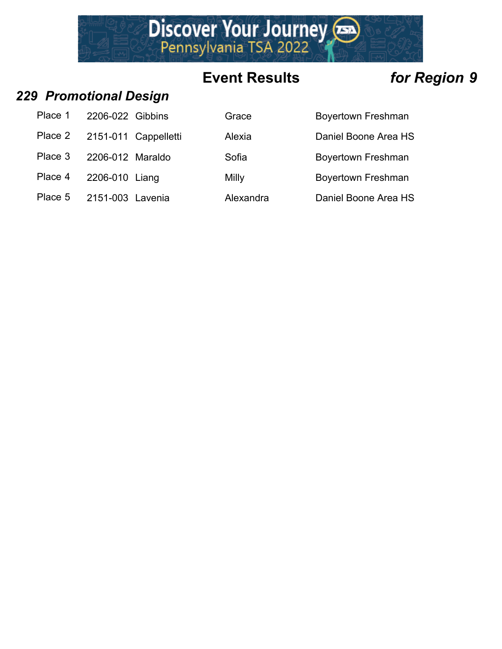# Discover Your Journey

# **Event Results** *for Region 9*

### *229 Promotional Design*

| Place 1 | 2206-022 Gibbins |                      |
|---------|------------------|----------------------|
| Place 2 |                  | 2151-011 Cappelletti |
| Place 3 | 2206-012 Maraldo |                      |
| Place 4 | 2206-010 Liang   |                      |
| Place 5 | 2151-003 Lavenia |                      |

| Place 1 | 2206-022 Gibbins |                      | Grace     | <b>Boyertown Freshman</b> |
|---------|------------------|----------------------|-----------|---------------------------|
| Place 2 |                  | 2151-011 Cappelletti | Alexia    | Daniel Boone Area HS      |
| Place 3 | 2206-012 Maraldo |                      | Sofia     | <b>Boyertown Freshman</b> |
| Place 4 | 2206-010 Liang   |                      | Milly     | <b>Boyertown Freshman</b> |
| Place 5 | 2151-003 Lavenia |                      | Alexandra | Daniel Boone Area HS      |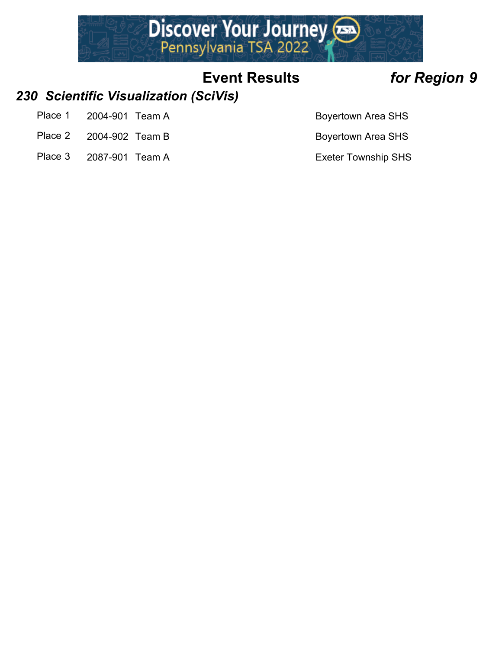

### *230 Scientific Visualization (SciVis)*

- Place 1 2004-901 Team A Boyertown Area SHS
- Place 2 2004-902 Team B Boyertown Area SHS
- Place 3 2087-901 Team A Exeter Township SHS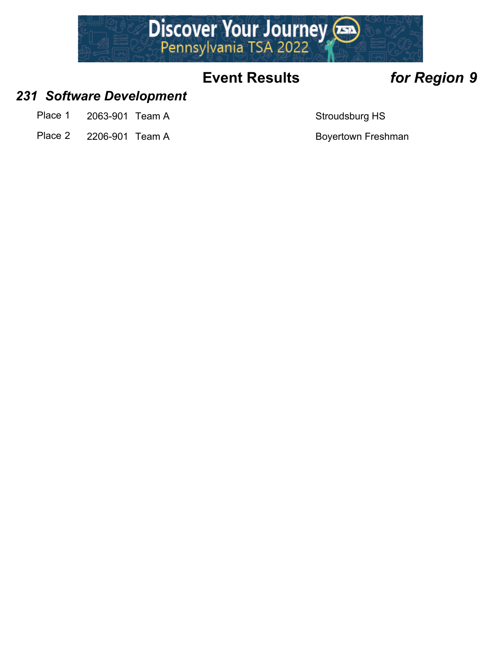

### *231 Software Development*

- Place 1 2063-901 Team A Stroudsburg HS
- Place 2 2206-901 Team A Boyertown Freshman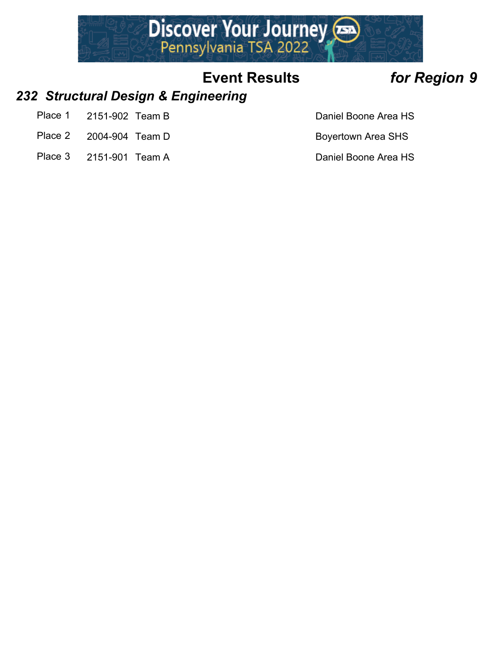

### *232 Structural Design & Engineering*

- Place 1 2151-902 Team B Daniel Boone Area HS
- Place 2 2004-904 Team D Boyertown Area SHS
- Place 3 2151-901 Team A Daniel Boone Area HS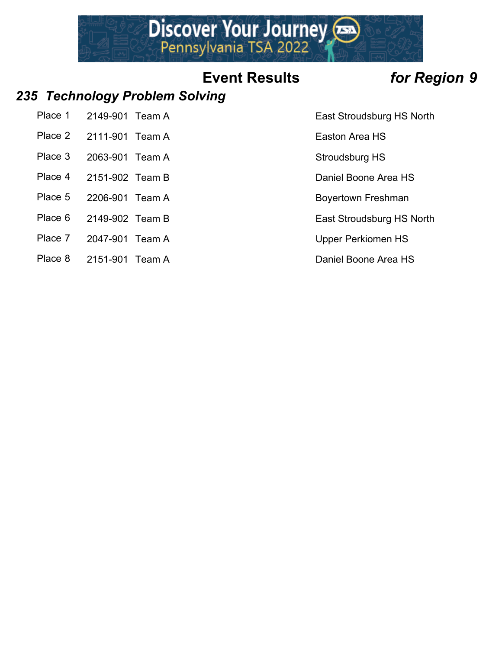# Discover Your Journey

# **Event Results** *for Region 9*

### *235 Technology Problem Solving*

| Place 1 | 2149-901 Team A |  |
|---------|-----------------|--|
|         |                 |  |

- Place 2 2111-901 Team A Easton Area HS
- Place 3 2063-901 Team A Stroudsburg HS
- Place 4 2151-902 Team B Daniel Boone Area HS
- Place 5 2206-901 Team A Boyertown Freshman
- 
- Place 7 2047-901 Team A Upper Perkiomen HS
- Place 8 2151-901 Team A Daniel Boone Area HS

East Stroudsburg HS North

Place 6 2149-902 Team B East Stroudsburg HS North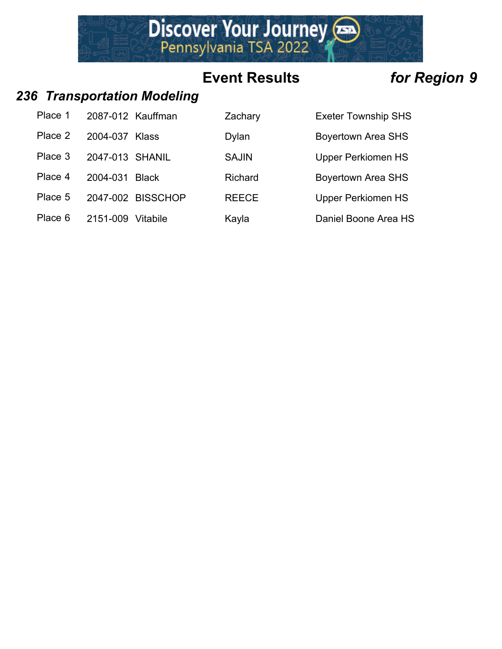

### *236 Transportation Modeling*

| Place 1 | 2087-012 Kauffman |                   | Zachary      | <b>Exeter Township SHS</b> |
|---------|-------------------|-------------------|--------------|----------------------------|
| Place 2 | 2004-037          | Klass             | Dylan        | <b>Boyertown Area SHS</b>  |
| Place 3 | 2047-013 SHANIL   |                   | <b>SAJIN</b> | <b>Upper Perkiomen HS</b>  |
| Place 4 | 2004-031          | <b>Black</b>      | Richard      | <b>Boyertown Area SHS</b>  |
| Place 5 |                   | 2047-002 BISSCHOP | <b>REECE</b> | <b>Upper Perkiomen HS</b>  |
| Place 6 | 2151-009          | Vitabile          | Kayla        | Daniel Boone Area HS       |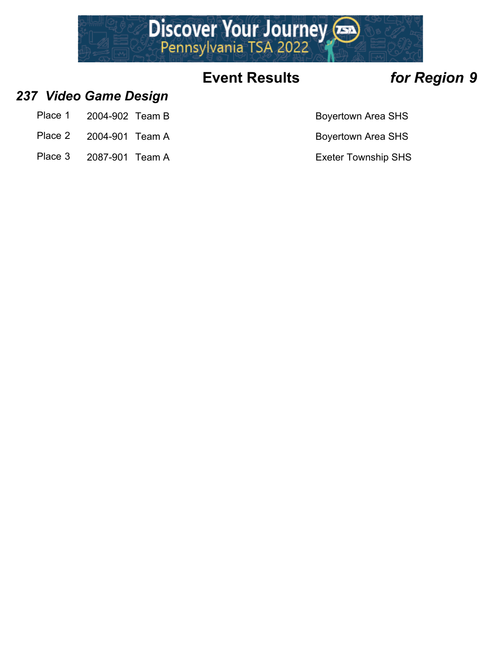

### *237 Video Game Design*

- Place 1 2004-902 Team B Boyertown Area SHS
- Place 2 2004-901 Team A Boyertown Area SHS
- Place 3 2087-901 Team A Exeter Township SHS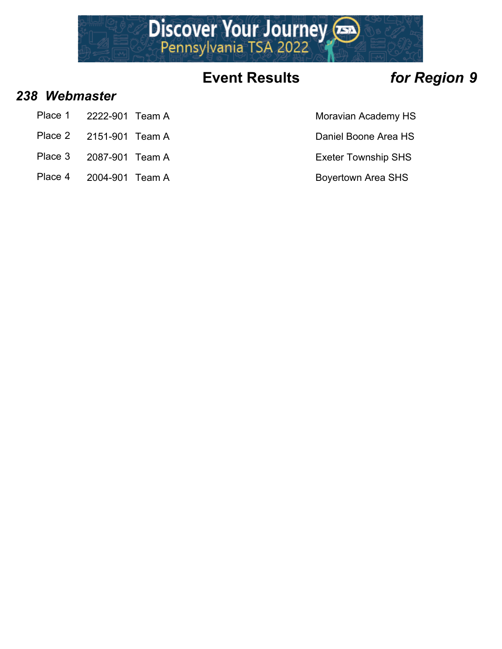

### *238 Webmaster*

- Place 1 2222-901 Team A Moravian Academy HS
- Place 2 2151-901 Team A Daniel Boone Area HS
- Place 3 2087-901 Team A Exeter Township SHS
- Place 4 2004-901 Team A Boyertown Area SHS
- 
- 
- -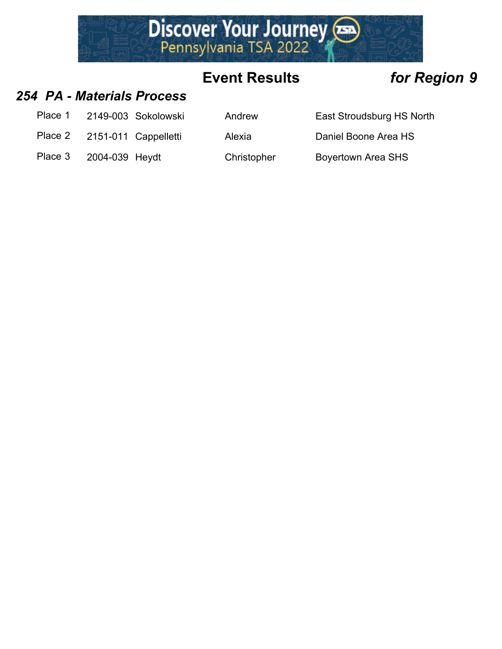

### *254 PA - Materials Process*

- Place 1 2149-003 Sokolowski Andrew East Stroudsburg HS North
- Place 2 2151-011 Cappelletti Alexia Daniel Boone Area HS

Place 3 2004-039 Heydt Christopher Boyertown Area SHS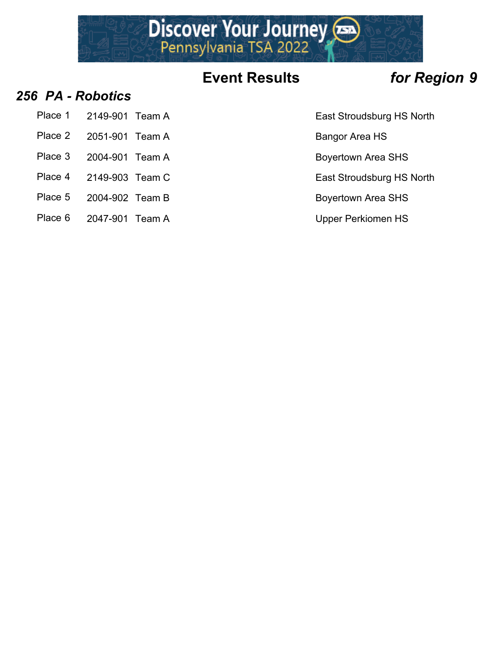

### *256 PA - Robotics*

- Place 1 2149-901 Team A **East Stroudsburg HS North**
- Place 2 2051-901 Team A Bangor Area HS
- 
- 
- 
- Place 5 2004-902 Team B Boyertown Area SHS
- Place 6 2047-901 Team A Upper Perkiomen HS
- 
- 
- Place 3 2004-901 Team A Boyertown Area SHS
- Place 4 2149-903 Team C East Stroudsburg HS North
	-
	-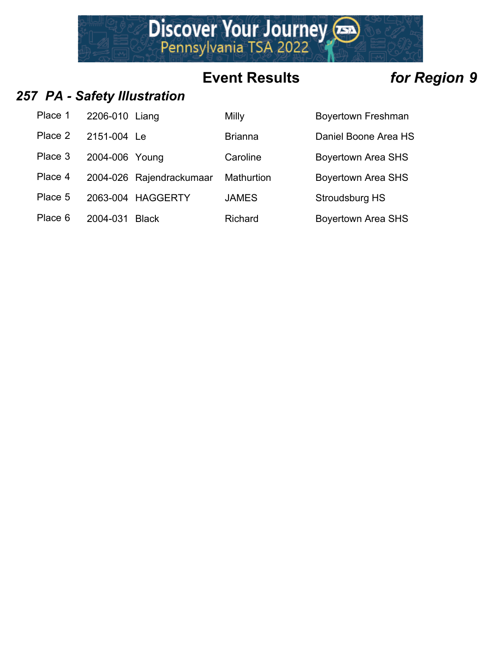

### *257 PA - Safety Illustration*

| Place 1 | 2206-010 Liang |                          | <b>Milly</b>   | <b>Boyertown Freshman</b> |
|---------|----------------|--------------------------|----------------|---------------------------|
| Place 2 | 2151-004 Le    |                          | <b>Brianna</b> | Daniel Boone Area HS      |
| Place 3 | 2004-006 Young |                          | Caroline       | <b>Boyertown Area SHS</b> |
| Place 4 |                | 2004-026 Rajendrackumaar | Mathurtion     | <b>Boyertown Area SHS</b> |
| Place 5 |                | 2063-004 HAGGERTY        | <b>JAMES</b>   | Stroudsburg HS            |
| Place 6 | 2004-031       | <b>Black</b>             | <b>Richard</b> | <b>Boyertown Area SHS</b> |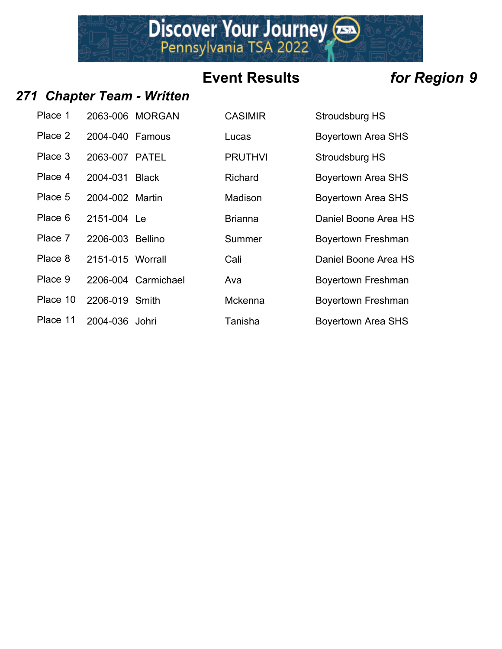Discover Your Journey

### *271 Chapter Team - Written*

| Place 1  |                          | 2063-006 MORGAN    |
|----------|--------------------------|--------------------|
| Place 2  | 2004-040 Famous          |                    |
| Place 3  | 2063-007 PATEL           |                    |
| Place 4  | 2004-031 Black           |                    |
| Place 5  | 2004-002 Martin          |                    |
| Place 6  | 2151-004 Le              |                    |
|          | Place 7 2206-003 Bellino |                    |
| Place 8  | 2151-015 Worrall         |                    |
| Place 9  |                          | 2206-004 Carmichae |
|          | Place 10 2206-019 Smith  |                    |
| Place 11 | 2004-036 Johri           |                    |

| Place 1  |                  | 2063-006 MORGAN     | <b>CASIMIR</b> | Stroudsburg HS            |
|----------|------------------|---------------------|----------------|---------------------------|
| Place 2  | 2004-040 Famous  |                     | Lucas          | <b>Boyertown Area SHS</b> |
| Place 3  | 2063-007 PATEL   |                     | <b>PRUTHVI</b> | Stroudsburg HS            |
| Place 4  | 2004-031         | Black               | Richard        | <b>Boyertown Area SHS</b> |
| Place 5  | 2004-002 Martin  |                     | Madison        | <b>Boyertown Area SHS</b> |
| Place 6  | 2151-004 Le      |                     | <b>Brianna</b> | Daniel Boone Area HS      |
| Place 7  | 2206-003 Bellino |                     | Summer         | <b>Boyertown Freshman</b> |
| Place 8  | 2151-015 Worrall |                     | Cali           | Daniel Boone Area HS      |
| Place 9  |                  | 2206-004 Carmichael | Ava            | <b>Boyertown Freshman</b> |
| Place 10 | 2206-019 Smith   |                     | <b>Mckenna</b> | <b>Boyertown Freshman</b> |
| Place 11 | 2004-036 Johri   |                     | Tanisha        | <b>Boyertown Area SHS</b> |